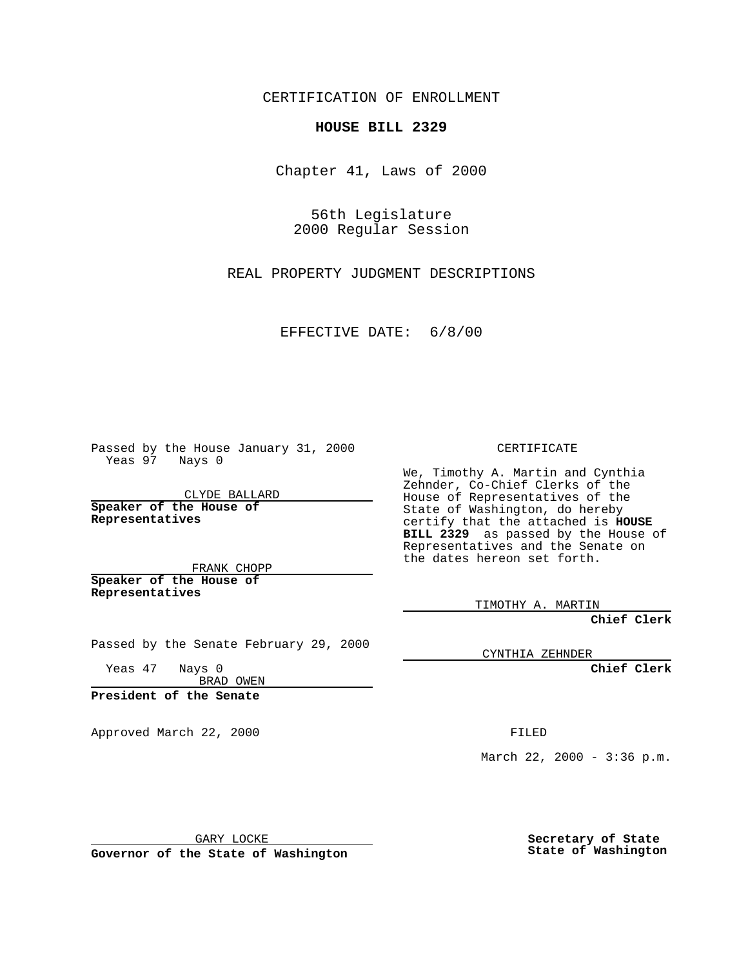CERTIFICATION OF ENROLLMENT

## **HOUSE BILL 2329**

Chapter 41, Laws of 2000

56th Legislature 2000 Regular Session

REAL PROPERTY JUDGMENT DESCRIPTIONS

EFFECTIVE DATE: 6/8/00

Passed by the House January 31, 2000 Yeas 97 Nays 0

CLYDE BALLARD **Speaker of the House of Representatives**

FRANK CHOPP **Speaker of the House of Representatives**

Passed by the Senate February 29, 2000

Yeas 47 Nays 0 BRAD OWEN

**President of the Senate**

Approved March 22, 2000 FILED

CERTIFICATE

We, Timothy A. Martin and Cynthia Zehnder, Co-Chief Clerks of the House of Representatives of the State of Washington, do hereby certify that the attached is **HOUSE BILL 2329** as passed by the House of Representatives and the Senate on the dates hereon set forth.

TIMOTHY A. MARTIN

**Chief Clerk**

CYNTHIA ZEHNDER

**Chief Clerk**

March 22, 2000 -  $3:36$  p.m.

GARY LOCKE

**Governor of the State of Washington**

**Secretary of State State of Washington**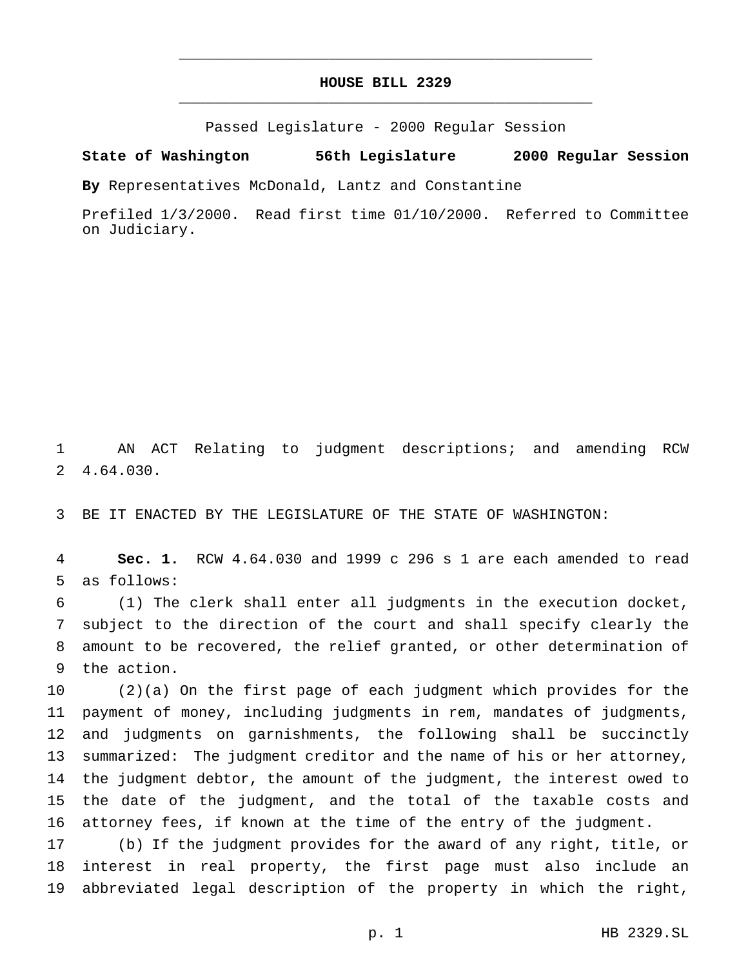## **HOUSE BILL 2329** \_\_\_\_\_\_\_\_\_\_\_\_\_\_\_\_\_\_\_\_\_\_\_\_\_\_\_\_\_\_\_\_\_\_\_\_\_\_\_\_\_\_\_\_\_\_\_

\_\_\_\_\_\_\_\_\_\_\_\_\_\_\_\_\_\_\_\_\_\_\_\_\_\_\_\_\_\_\_\_\_\_\_\_\_\_\_\_\_\_\_\_\_\_\_

Passed Legislature - 2000 Regular Session

## **State of Washington 56th Legislature 2000 Regular Session**

**By** Representatives McDonald, Lantz and Constantine

Prefiled 1/3/2000. Read first time 01/10/2000. Referred to Committee on Judiciary.

 AN ACT Relating to judgment descriptions; and amending RCW 4.64.030.

BE IT ENACTED BY THE LEGISLATURE OF THE STATE OF WASHINGTON:

 **Sec. 1.** RCW 4.64.030 and 1999 c 296 s 1 are each amended to read as follows:

 (1) The clerk shall enter all judgments in the execution docket, subject to the direction of the court and shall specify clearly the amount to be recovered, the relief granted, or other determination of the action.

 (2)(a) On the first page of each judgment which provides for the payment of money, including judgments in rem, mandates of judgments, and judgments on garnishments, the following shall be succinctly summarized: The judgment creditor and the name of his or her attorney, the judgment debtor, the amount of the judgment, the interest owed to the date of the judgment, and the total of the taxable costs and attorney fees, if known at the time of the entry of the judgment.

 (b) If the judgment provides for the award of any right, title, or interest in real property, the first page must also include an abbreviated legal description of the property in which the right,